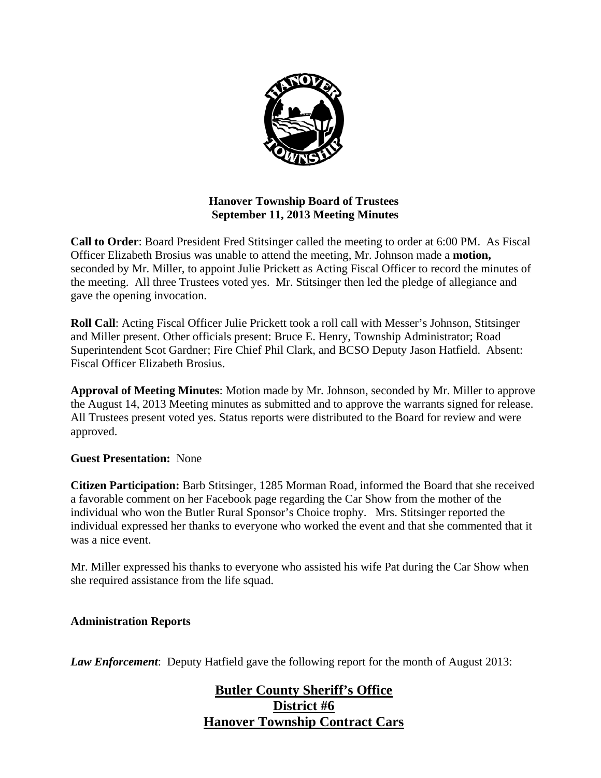

## **Hanover Township Board of Trustees September 11, 2013 Meeting Minutes**

**Call to Order**: Board President Fred Stitsinger called the meeting to order at 6:00 PM. As Fiscal Officer Elizabeth Brosius was unable to attend the meeting, Mr. Johnson made a **motion,**  seconded by Mr. Miller, to appoint Julie Prickett as Acting Fiscal Officer to record the minutes of the meeting. All three Trustees voted yes. Mr. Stitsinger then led the pledge of allegiance and gave the opening invocation.

**Roll Call**: Acting Fiscal Officer Julie Prickett took a roll call with Messer's Johnson, Stitsinger and Miller present. Other officials present: Bruce E. Henry, Township Administrator; Road Superintendent Scot Gardner; Fire Chief Phil Clark, and BCSO Deputy Jason Hatfield. Absent: Fiscal Officer Elizabeth Brosius.

**Approval of Meeting Minutes**: Motion made by Mr. Johnson, seconded by Mr. Miller to approve the August 14, 2013 Meeting minutes as submitted and to approve the warrants signed for release. All Trustees present voted yes. Status reports were distributed to the Board for review and were approved.

## **Guest Presentation:** None

**Citizen Participation:** Barb Stitsinger, 1285 Morman Road, informed the Board that she received a favorable comment on her Facebook page regarding the Car Show from the mother of the individual who won the Butler Rural Sponsor's Choice trophy. Mrs. Stitsinger reported the individual expressed her thanks to everyone who worked the event and that she commented that it was a nice event.

Mr. Miller expressed his thanks to everyone who assisted his wife Pat during the Car Show when she required assistance from the life squad.

#### **Administration Reports**

*Law Enforcement*: Deputy Hatfield gave the following report for the month of August 2013:

## **Butler County Sheriff's Office District #6 Hanover Township Contract Cars**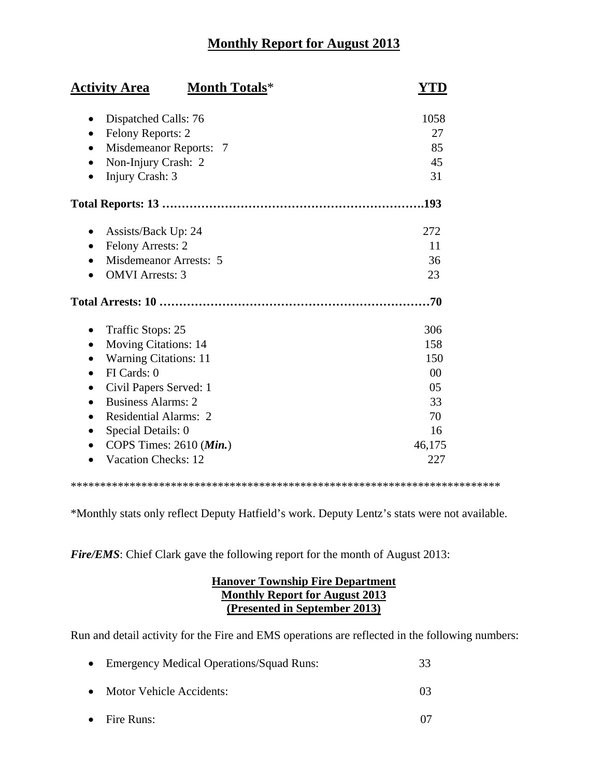# **Monthly Report for August 2013**

| <b>Month Totals*</b><br><b>Activity Area</b>                                                                                                                                                                                                                                                                              | YTD                                                              |
|---------------------------------------------------------------------------------------------------------------------------------------------------------------------------------------------------------------------------------------------------------------------------------------------------------------------------|------------------------------------------------------------------|
| Dispatched Calls: 76<br>٠<br>Felony Reports: 2<br>Misdemeanor Reports: 7<br>Non-Injury Crash: 2<br>Injury Crash: 3<br>$\bullet$                                                                                                                                                                                           | 1058<br>27<br>85<br>45<br>31                                     |
|                                                                                                                                                                                                                                                                                                                           | .193                                                             |
| Assists/Back Up: 24<br>Felony Arrests: 2<br>$\bullet$<br>Misdemeanor Arrests: 5<br><b>OMVI</b> Arrests: 3                                                                                                                                                                                                                 | 272<br>11<br>36<br>23                                            |
|                                                                                                                                                                                                                                                                                                                           | 70                                                               |
| Traffic Stops: 25<br>$\bullet$<br><b>Moving Citations: 14</b><br><b>Warning Citations: 11</b><br>FI Cards: 0<br>$\bullet$<br>Civil Papers Served: 1<br><b>Business Alarms: 2</b><br>$\bullet$<br><b>Residential Alarms: 2</b><br>$\bullet$<br>Special Details: 0<br>COPS Times: 2610 (Min.)<br><b>Vacation Checks: 12</b> | 306<br>158<br>150<br>00<br>05<br>33<br>70<br>16<br>46,175<br>227 |

\*\*\*\*\*\*\*\*\*\*\*\*\*\*\*\*\*\*\*\*\*\*\*\*\*\*\*\*\*\*\*\*\*\*\*\*\*\*\*\*\*\*\*\*\*\*\*\*\*\*\*\*\*\*\*\*\*\*\*\*\*\*\*\*\*\*\*\*\*\*\*\*\*

\*Monthly stats only reflect Deputy Hatfield's work. Deputy Lentz's stats were not available.

*Fire/EMS*: Chief Clark gave the following report for the month of August 2013:

### **Hanover Township Fire Department Monthly Report for August 2013 (Presented in September 2013)**

Run and detail activity for the Fire and EMS operations are reflected in the following numbers:

| • Emergency Medical Operations/Squad Runs: |                 |
|--------------------------------------------|-----------------|
| • Motor Vehicle Accidents:                 | 03 <sup>2</sup> |

• Fire Runs: 07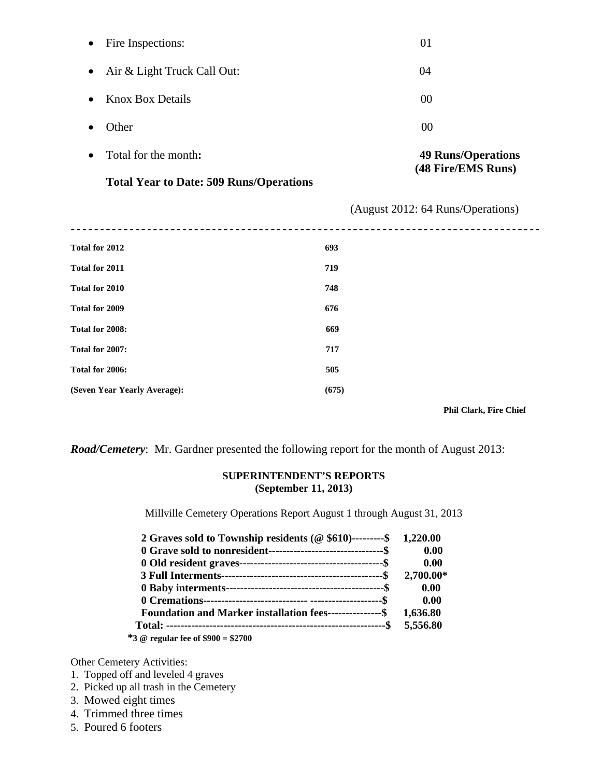|           | <b>Total Year to Date: 509 Runs/Operations</b> |                                                 |
|-----------|------------------------------------------------|-------------------------------------------------|
|           | Total for the month:                           | <b>49 Runs/Operations</b><br>(48 Fire/EMS Runs) |
|           | Other                                          | $00\,$                                          |
| $\bullet$ | <b>Knox Box Details</b>                        | 00                                              |
| $\bullet$ | Air & Light Truck Call Out:                    | 04                                              |
| $\bullet$ | Fire Inspections:                              | 01                                              |

(August 2012: 64 Runs/Operations)

| Total for 2012               | 693   |                               |
|------------------------------|-------|-------------------------------|
| Total for 2011               | 719   |                               |
| Total for 2010               | 748   |                               |
| Total for 2009               | 676   |                               |
| Total for 2008:              | 669   |                               |
| Total for 2007:              | 717   |                               |
| Total for 2006:              | 505   |                               |
| (Seven Year Yearly Average): | (675) |                               |
|                              |       | <b>Phil Clark, Fire Chief</b> |

*Road/Cemetery*: Mr. Gardner presented the following report for the month of August 2013:

#### **SUPERINTENDENT'S REPORTS (September 11, 2013)**

Millville Cemetery Operations Report August 1 through August 31, 2013

| 2 Graves sold to Township residents ( $@$ \$610)---------\$ 1,220.00 |           |
|----------------------------------------------------------------------|-----------|
|                                                                      | 0.00      |
|                                                                      | 0.00      |
|                                                                      | 2,700.00* |
|                                                                      | 0.00      |
|                                                                      | 0.00      |
| Foundation and Marker installation fees---------------\$ 1,636.80    |           |
|                                                                      | 5,556.80  |
| $*3$ @ regular fee of $$900 = $2700$                                 |           |

Other Cemetery Activities:

- 1. Topped off and leveled 4 graves
- 2. Picked up all trash in the Cemetery
- 3. Mowed eight times
- 4. Trimmed three times
- 5. Poured 6 footers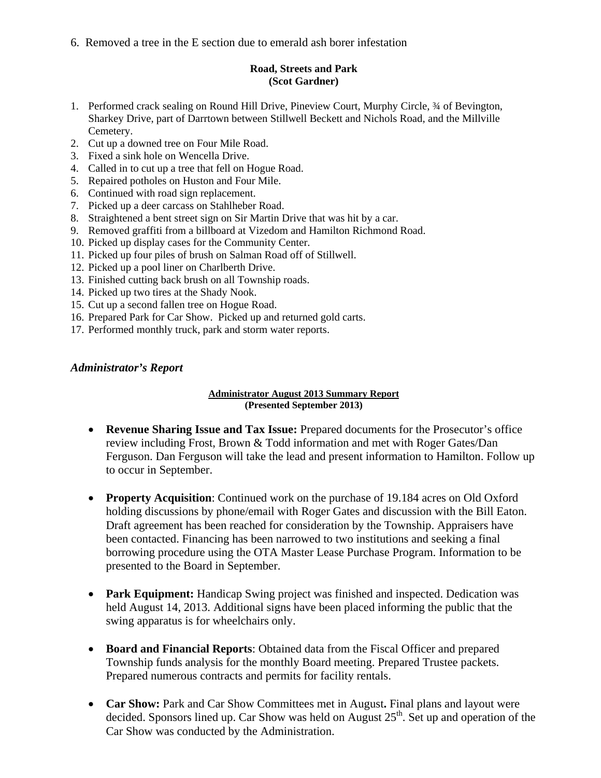6. Removed a tree in the E section due to emerald ash borer infestation

#### **Road, Streets and Park (Scot Gardner)**

- 1. Performed crack sealing on Round Hill Drive, Pineview Court, Murphy Circle, ¾ of Bevington, Sharkey Drive, part of Darrtown between Stillwell Beckett and Nichols Road, and the Millville Cemetery.
- 2. Cut up a downed tree on Four Mile Road.
- 3. Fixed a sink hole on Wencella Drive.
- 4. Called in to cut up a tree that fell on Hogue Road.
- 5. Repaired potholes on Huston and Four Mile.
- 6. Continued with road sign replacement.
- 7. Picked up a deer carcass on Stahlheber Road.
- 8. Straightened a bent street sign on Sir Martin Drive that was hit by a car.
- 9. Removed graffiti from a billboard at Vizedom and Hamilton Richmond Road.
- 10. Picked up display cases for the Community Center.
- 11. Picked up four piles of brush on Salman Road off of Stillwell.
- 12. Picked up a pool liner on Charlberth Drive.
- 13. Finished cutting back brush on all Township roads.
- 14. Picked up two tires at the Shady Nook.
- 15. Cut up a second fallen tree on Hogue Road.
- 16. Prepared Park for Car Show. Picked up and returned gold carts.
- 17. Performed monthly truck, park and storm water reports.

### *Administrator's Report*

#### **Administrator August 2013 Summary Report (Presented September 2013)**

- **Revenue Sharing Issue and Tax Issue:** Prepared documents for the Prosecutor's office review including Frost, Brown & Todd information and met with Roger Gates/Dan Ferguson. Dan Ferguson will take the lead and present information to Hamilton. Follow up to occur in September.
- **Property Acquisition**: Continued work on the purchase of 19.184 acres on Old Oxford holding discussions by phone/email with Roger Gates and discussion with the Bill Eaton. Draft agreement has been reached for consideration by the Township. Appraisers have been contacted. Financing has been narrowed to two institutions and seeking a final borrowing procedure using the OTA Master Lease Purchase Program. Information to be presented to the Board in September.
- **Park Equipment:** Handicap Swing project was finished and inspected. Dedication was held August 14, 2013. Additional signs have been placed informing the public that the swing apparatus is for wheelchairs only.
- **Board and Financial Reports**: Obtained data from the Fiscal Officer and prepared Township funds analysis for the monthly Board meeting. Prepared Trustee packets. Prepared numerous contracts and permits for facility rentals.
- **Car Show:** Park and Car Show Committees met in August. Final plans and layout were decided. Sponsors lined up. Car Show was held on August 25<sup>th</sup>. Set up and operation of the Car Show was conducted by the Administration.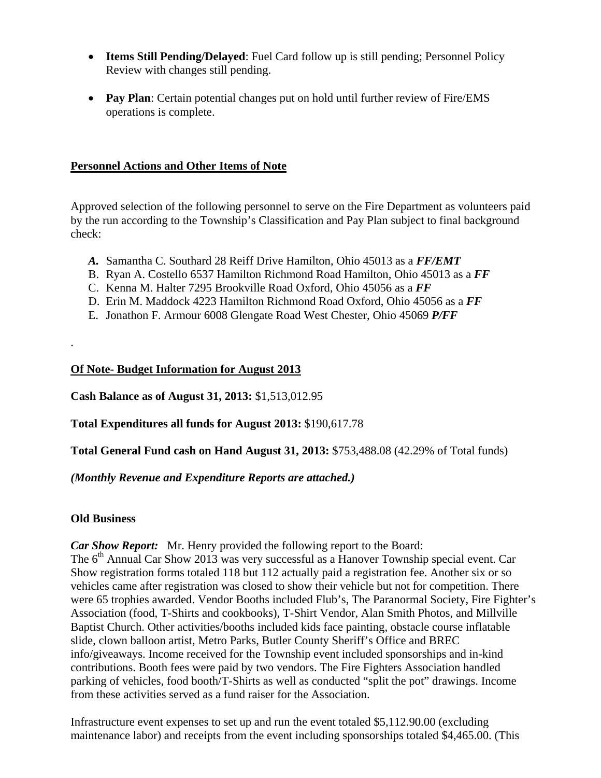- **Items Still Pending/Delayed**: Fuel Card follow up is still pending; Personnel Policy Review with changes still pending.
- **Pay Plan**: Certain potential changes put on hold until further review of Fire/EMS operations is complete.

## **Personnel Actions and Other Items of Note**

Approved selection of the following personnel to serve on the Fire Department as volunteers paid by the run according to the Township's Classification and Pay Plan subject to final background check:

- *A.* Samantha C. Southard 28 Reiff Drive Hamilton, Ohio 45013 as a *FF/EMT*
- B. Ryan A. Costello 6537 Hamilton Richmond Road Hamilton, Ohio 45013 as a *FF*
- C. Kenna M. Halter 7295 Brookville Road Oxford, Ohio 45056 as a *FF*
- D. Erin M. Maddock 4223 Hamilton Richmond Road Oxford, Ohio 45056 as a *FF*
- E. Jonathon F. Armour 6008 Glengate Road West Chester, Ohio 45069 *P/FF*

## **Of Note- Budget Information for August 2013**

**Cash Balance as of August 31, 2013:** \$1,513,012.95

**Total Expenditures all funds for August 2013:** \$190,617.78

**Total General Fund cash on Hand August 31, 2013:** \$753,488.08 (42.29% of Total funds)

*(Monthly Revenue and Expenditure Reports are attached.)* 

## **Old Business**

.

*Car Show Report:* Mr. Henry provided the following report to the Board:

The  $6<sup>th</sup>$  Annual Car Show 2013 was very successful as a Hanover Township special event. Car Show registration forms totaled 118 but 112 actually paid a registration fee. Another six or so vehicles came after registration was closed to show their vehicle but not for competition. There were 65 trophies awarded. Vendor Booths included Flub's, The Paranormal Society, Fire Fighter's Association (food, T-Shirts and cookbooks), T-Shirt Vendor, Alan Smith Photos, and Millville Baptist Church. Other activities/booths included kids face painting, obstacle course inflatable slide, clown balloon artist, Metro Parks, Butler County Sheriff's Office and BREC info/giveaways. Income received for the Township event included sponsorships and in-kind contributions. Booth fees were paid by two vendors. The Fire Fighters Association handled parking of vehicles, food booth/T-Shirts as well as conducted "split the pot" drawings. Income from these activities served as a fund raiser for the Association.

Infrastructure event expenses to set up and run the event totaled \$5,112.90.00 (excluding maintenance labor) and receipts from the event including sponsorships totaled \$4,465.00. (This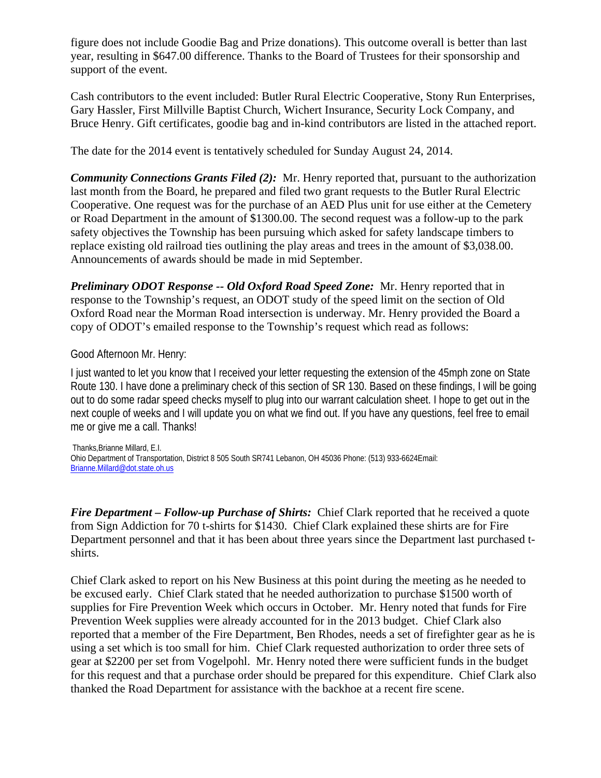figure does not include Goodie Bag and Prize donations). This outcome overall is better than last year, resulting in \$647.00 difference. Thanks to the Board of Trustees for their sponsorship and support of the event.

Cash contributors to the event included: Butler Rural Electric Cooperative, Stony Run Enterprises, Gary Hassler, First Millville Baptist Church, Wichert Insurance, Security Lock Company, and Bruce Henry. Gift certificates, goodie bag and in-kind contributors are listed in the attached report.

The date for the 2014 event is tentatively scheduled for Sunday August 24, 2014.

*Community Connections Grants Filed (2):* Mr. Henry reported that, pursuant to the authorization last month from the Board, he prepared and filed two grant requests to the Butler Rural Electric Cooperative. One request was for the purchase of an AED Plus unit for use either at the Cemetery or Road Department in the amount of \$1300.00. The second request was a follow-up to the park safety objectives the Township has been pursuing which asked for safety landscape timbers to replace existing old railroad ties outlining the play areas and trees in the amount of \$3,038.00. Announcements of awards should be made in mid September.

*Preliminary ODOT Response -- Old Oxford Road Speed Zone:* Mr. Henry reported that in response to the Township's request, an ODOT study of the speed limit on the section of Old Oxford Road near the Morman Road intersection is underway. Mr. Henry provided the Board a copy of ODOT's emailed response to the Township's request which read as follows:

### Good Afternoon Mr. Henry:

I just wanted to let you know that I received your letter requesting the extension of the 45mph zone on State Route 130. I have done a preliminary check of this section of SR 130. Based on these findings, I will be going out to do some radar speed checks myself to plug into our warrant calculation sheet. I hope to get out in the next couple of weeks and I will update you on what we find out. If you have any questions, feel free to email me or give me a call. Thanks!

 Thanks,Brianne Millard, E.I. Ohio Department of Transportation, District 8 505 South SR741 Lebanon, OH 45036 Phone: (513) 933-6624Email: Brianne.Millard@dot.state.oh.us

*Fire Department – Follow-up Purchase of Shirts:* Chief Clark reported that he received a quote from Sign Addiction for 70 t-shirts for \$1430. Chief Clark explained these shirts are for Fire Department personnel and that it has been about three years since the Department last purchased tshirts.

Chief Clark asked to report on his New Business at this point during the meeting as he needed to be excused early. Chief Clark stated that he needed authorization to purchase \$1500 worth of supplies for Fire Prevention Week which occurs in October. Mr. Henry noted that funds for Fire Prevention Week supplies were already accounted for in the 2013 budget. Chief Clark also reported that a member of the Fire Department, Ben Rhodes, needs a set of firefighter gear as he is using a set which is too small for him. Chief Clark requested authorization to order three sets of gear at \$2200 per set from Vogelpohl. Mr. Henry noted there were sufficient funds in the budget for this request and that a purchase order should be prepared for this expenditure. Chief Clark also thanked the Road Department for assistance with the backhoe at a recent fire scene.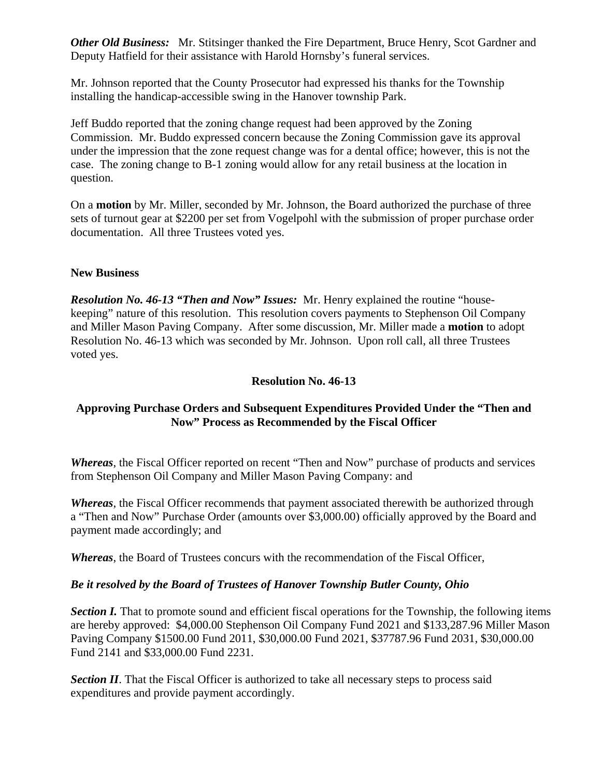*Other Old Business:* Mr. Stitsinger thanked the Fire Department, Bruce Henry, Scot Gardner and Deputy Hatfield for their assistance with Harold Hornsby's funeral services.

Mr. Johnson reported that the County Prosecutor had expressed his thanks for the Township installing the handicap-accessible swing in the Hanover township Park.

Jeff Buddo reported that the zoning change request had been approved by the Zoning Commission. Mr. Buddo expressed concern because the Zoning Commission gave its approval under the impression that the zone request change was for a dental office; however, this is not the case. The zoning change to B-1 zoning would allow for any retail business at the location in question.

On a **motion** by Mr. Miller, seconded by Mr. Johnson, the Board authorized the purchase of three sets of turnout gear at \$2200 per set from Vogelpohl with the submission of proper purchase order documentation. All three Trustees voted yes.

### **New Business**

*Resolution No. 46-13 "Then and Now" Issues:* Mr. Henry explained the routine "housekeeping" nature of this resolution. This resolution covers payments to Stephenson Oil Company and Miller Mason Paving Company. After some discussion, Mr. Miller made a **motion** to adopt Resolution No. 46-13 which was seconded by Mr. Johnson. Upon roll call, all three Trustees voted yes.

### **Resolution No. 46-13**

## **Approving Purchase Orders and Subsequent Expenditures Provided Under the "Then and Now" Process as Recommended by the Fiscal Officer**

*Whereas*, the Fiscal Officer reported on recent "Then and Now" purchase of products and services from Stephenson Oil Company and Miller Mason Paving Company: and

*Whereas*, the Fiscal Officer recommends that payment associated therewith be authorized through a "Then and Now" Purchase Order (amounts over \$3,000.00) officially approved by the Board and payment made accordingly; and

*Whereas*, the Board of Trustees concurs with the recommendation of the Fiscal Officer,

#### *Be it resolved by the Board of Trustees of Hanover Township Butler County, Ohio*

*Section I.* That to promote sound and efficient fiscal operations for the Township, the following items are hereby approved: \$4,000.00 Stephenson Oil Company Fund 2021 and \$133,287.96 Miller Mason Paving Company \$1500.00 Fund 2011, \$30,000.00 Fund 2021, \$37787.96 Fund 2031, \$30,000.00 Fund 2141 and \$33,000.00 Fund 2231.

**Section II**. That the Fiscal Officer is authorized to take all necessary steps to process said expenditures and provide payment accordingly.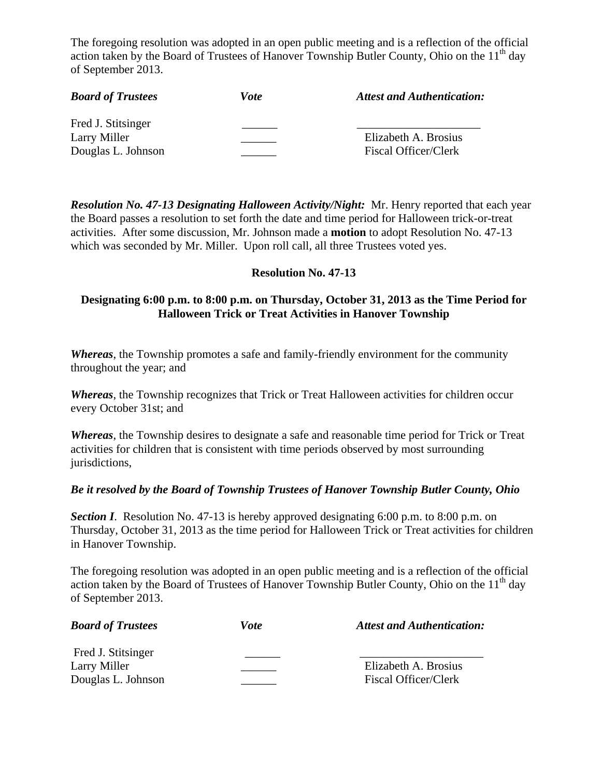The foregoing resolution was adopted in an open public meeting and is a reflection of the official action taken by the Board of Trustees of Hanover Township Butler County, Ohio on the  $11<sup>th</sup>$  day of September 2013.

| <b>Board of Trustees</b> | Vote | <b>Attest and Authentication:</b> |
|--------------------------|------|-----------------------------------|
| Fred J. Stitsinger       |      |                                   |
| Larry Miller             |      | Elizabeth A. Brosius              |
| Douglas L. Johnson       |      | <b>Fiscal Officer/Clerk</b>       |

*Resolution No. 47-13 Designating Halloween Activity/Night:* Mr. Henry reported that each year the Board passes a resolution to set forth the date and time period for Halloween trick-or-treat activities. After some discussion, Mr. Johnson made a **motion** to adopt Resolution No. 47-13 which was seconded by Mr. Miller. Upon roll call, all three Trustees voted yes.

### **Resolution No. 47-13**

## **Designating 6:00 p.m. to 8:00 p.m. on Thursday, October 31, 2013 as the Time Period for Halloween Trick or Treat Activities in Hanover Township**

*Whereas*, the Township promotes a safe and family-friendly environment for the community throughout the year; and

*Whereas*, the Township recognizes that Trick or Treat Halloween activities for children occur every October 31st; and

*Whereas*, the Township desires to designate a safe and reasonable time period for Trick or Treat activities for children that is consistent with time periods observed by most surrounding jurisdictions,

#### *Be it resolved by the Board of Township Trustees of Hanover Township Butler County, Ohio*

*Section I*. Resolution No. 47-13 is hereby approved designating 6:00 p.m. to 8:00 p.m. on Thursday, October 31, 2013 as the time period for Halloween Trick or Treat activities for children in Hanover Township.

The foregoing resolution was adopted in an open public meeting and is a reflection of the official action taken by the Board of Trustees of Hanover Township Butler County, Ohio on the  $11<sup>th</sup>$  day of September 2013.

| <b>Board of Trustees</b> | Vote | <b>Attest and Authentication:</b> |
|--------------------------|------|-----------------------------------|
| Fred J. Stitsinger       |      |                                   |
| Larry Miller             |      | Elizabeth A. Brosius              |
| Douglas L. Johnson       |      | Fiscal Officer/Clerk              |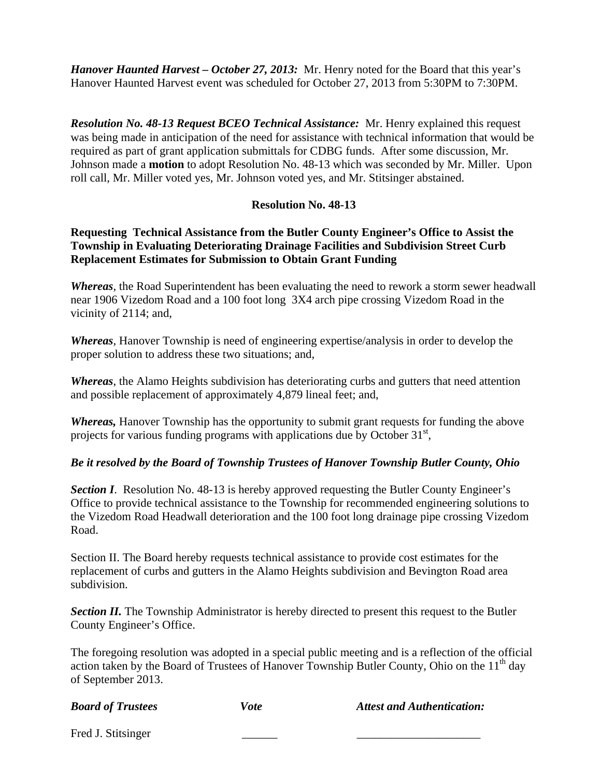*Hanover Haunted Harvest – October 27, 2013:* Mr. Henry noted for the Board that this year's Hanover Haunted Harvest event was scheduled for October 27, 2013 from 5:30PM to 7:30PM.

*Resolution No. 48-13 Request BCEO Technical Assistance:* Mr. Henry explained this request was being made in anticipation of the need for assistance with technical information that would be required as part of grant application submittals for CDBG funds. After some discussion, Mr. Johnson made a **motion** to adopt Resolution No. 48-13 which was seconded by Mr. Miller. Upon roll call, Mr. Miller voted yes, Mr. Johnson voted yes, and Mr. Stitsinger abstained.

## **Resolution No. 48-13**

## **Requesting Technical Assistance from the Butler County Engineer's Office to Assist the Township in Evaluating Deteriorating Drainage Facilities and Subdivision Street Curb Replacement Estimates for Submission to Obtain Grant Funding**

*Whereas*, the Road Superintendent has been evaluating the need to rework a storm sewer headwall near 1906 Vizedom Road and a 100 foot long 3X4 arch pipe crossing Vizedom Road in the vicinity of 2114; and,

*Whereas*, Hanover Township is need of engineering expertise/analysis in order to develop the proper solution to address these two situations; and,

*Whereas*, the Alamo Heights subdivision has deteriorating curbs and gutters that need attention and possible replacement of approximately 4,879 lineal feet; and,

*Whereas,* Hanover Township has the opportunity to submit grant requests for funding the above projects for various funding programs with applications due by October 31<sup>st</sup>,

## *Be it resolved by the Board of Township Trustees of Hanover Township Butler County, Ohio*

**Section I**. Resolution No. 48-13 is hereby approved requesting the Butler County Engineer's Office to provide technical assistance to the Township for recommended engineering solutions to the Vizedom Road Headwall deterioration and the 100 foot long drainage pipe crossing Vizedom Road.

Section II. The Board hereby requests technical assistance to provide cost estimates for the replacement of curbs and gutters in the Alamo Heights subdivision and Bevington Road area subdivision.

**Section II.** The Township Administrator is hereby directed to present this request to the Butler County Engineer's Office.

The foregoing resolution was adopted in a special public meeting and is a reflection of the official action taken by the Board of Trustees of Hanover Township Butler County, Ohio on the  $11<sup>th</sup>$  day of September 2013.

*Board of Trustees* Vote Attest and Authentication: Fred J. Stitsinger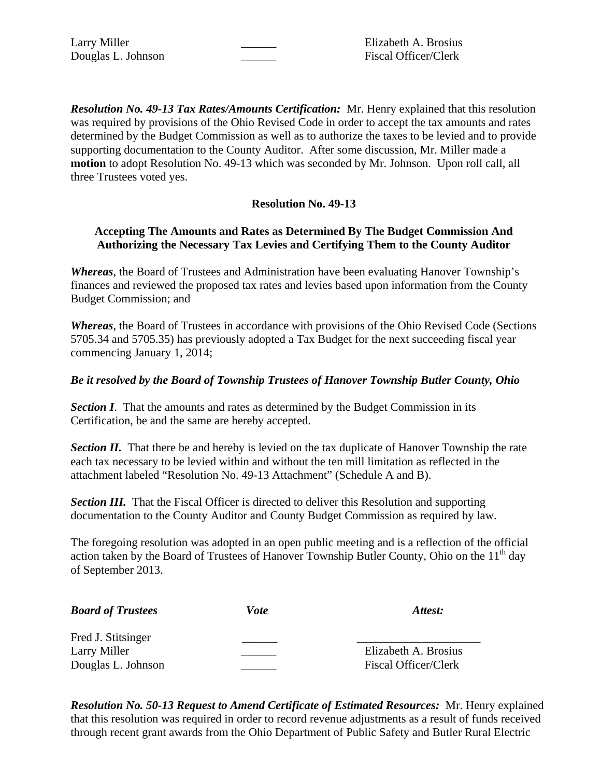Douglas L. Johnson \_\_\_\_\_\_ Fiscal Officer/Clerk

Larry Miller **Larry Miller Elizabeth A. Brosius** 

*Resolution No. 49-13 Tax Rates/Amounts Certification:* Mr. Henry explained that this resolution was required by provisions of the Ohio Revised Code in order to accept the tax amounts and rates determined by the Budget Commission as well as to authorize the taxes to be levied and to provide supporting documentation to the County Auditor. After some discussion, Mr. Miller made a **motion** to adopt Resolution No. 49-13 which was seconded by Mr. Johnson. Upon roll call, all three Trustees voted yes.

## **Resolution No. 49-13**

### **Accepting The Amounts and Rates as Determined By The Budget Commission And Authorizing the Necessary Tax Levies and Certifying Them to the County Auditor**

*Whereas*, the Board of Trustees and Administration have been evaluating Hanover Township's finances and reviewed the proposed tax rates and levies based upon information from the County Budget Commission; and

*Whereas*, the Board of Trustees in accordance with provisions of the Ohio Revised Code (Sections 5705.34 and 5705.35) has previously adopted a Tax Budget for the next succeeding fiscal year commencing January 1, 2014;

### *Be it resolved by the Board of Township Trustees of Hanover Township Butler County, Ohio*

**Section I**. That the amounts and rates as determined by the Budget Commission in its Certification, be and the same are hereby accepted.

*Section II.* That there be and hereby is levied on the tax duplicate of Hanover Township the rate each tax necessary to be levied within and without the ten mill limitation as reflected in the attachment labeled "Resolution No. 49-13 Attachment" (Schedule A and B).

**Section III.** That the Fiscal Officer is directed to deliver this Resolution and supporting documentation to the County Auditor and County Budget Commission as required by law.

The foregoing resolution was adopted in an open public meeting and is a reflection of the official action taken by the Board of Trustees of Hanover Township Butler County, Ohio on the 11<sup>th</sup> day of September 2013.

| <b>Board of Trustees</b> | Vote | Attest:              |
|--------------------------|------|----------------------|
| Fred J. Stitsinger       |      |                      |
| Larry Miller             |      | Elizabeth A. Brosius |
| Douglas L. Johnson       |      | Fiscal Officer/Clerk |

*Resolution No. 50-13 Request to Amend Certificate of Estimated Resources:* Mr. Henry explained that this resolution was required in order to record revenue adjustments as a result of funds received through recent grant awards from the Ohio Department of Public Safety and Butler Rural Electric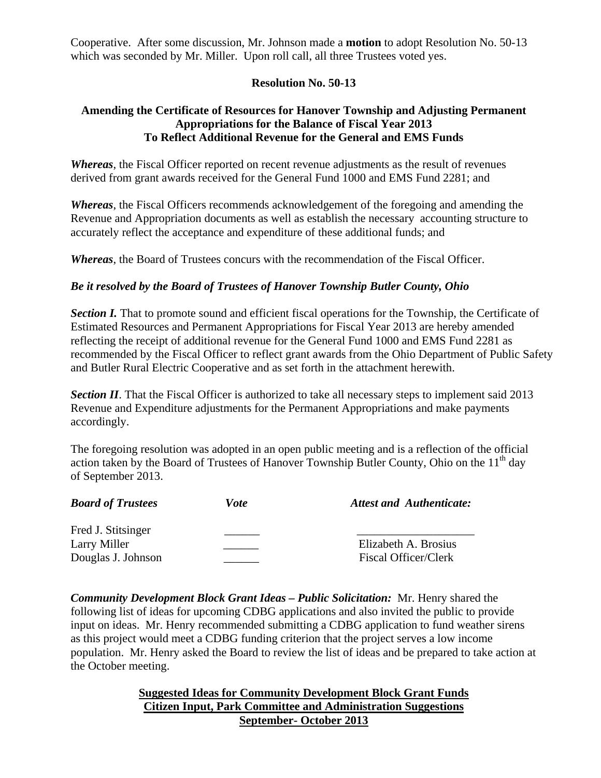Cooperative. After some discussion, Mr. Johnson made a **motion** to adopt Resolution No. 50-13 which was seconded by Mr. Miller. Upon roll call, all three Trustees voted yes.

## **Resolution No. 50-13**

## **Amending the Certificate of Resources for Hanover Township and Adjusting Permanent Appropriations for the Balance of Fiscal Year 2013 To Reflect Additional Revenue for the General and EMS Funds**

*Whereas*, the Fiscal Officer reported on recent revenue adjustments as the result of revenues derived from grant awards received for the General Fund 1000 and EMS Fund 2281; and

*Whereas*, the Fiscal Officers recommends acknowledgement of the foregoing and amending the Revenue and Appropriation documents as well as establish the necessary accounting structure to accurately reflect the acceptance and expenditure of these additional funds; and

*Whereas*, the Board of Trustees concurs with the recommendation of the Fiscal Officer.

## *Be it resolved by the Board of Trustees of Hanover Township Butler County, Ohio*

**Section I.** That to promote sound and efficient fiscal operations for the Township, the Certificate of Estimated Resources and Permanent Appropriations for Fiscal Year 2013 are hereby amended reflecting the receipt of additional revenue for the General Fund 1000 and EMS Fund 2281 as recommended by the Fiscal Officer to reflect grant awards from the Ohio Department of Public Safety and Butler Rural Electric Cooperative and as set forth in the attachment herewith.

**Section II**. That the Fiscal Officer is authorized to take all necessary steps to implement said 2013 Revenue and Expenditure adjustments for the Permanent Appropriations and make payments accordingly.

The foregoing resolution was adopted in an open public meeting and is a reflection of the official action taken by the Board of Trustees of Hanover Township Butler County, Ohio on the  $11<sup>th</sup>$  day of September 2013.

| <b>Board of Trustees</b> | Vote | <b>Attest and Authenticate:</b> |
|--------------------------|------|---------------------------------|
| Fred J. Stitsinger       |      |                                 |
| Larry Miller             |      | Elizabeth A. Brosius            |
| Douglas J. Johnson       |      | Fiscal Officer/Clerk            |

*Community Development Block Grant Ideas – Public Solicitation:* Mr. Henry shared the following list of ideas for upcoming CDBG applications and also invited the public to provide input on ideas. Mr. Henry recommended submitting a CDBG application to fund weather sirens as this project would meet a CDBG funding criterion that the project serves a low income population. Mr. Henry asked the Board to review the list of ideas and be prepared to take action at the October meeting.

> **Suggested Ideas for Community Development Block Grant Funds Citizen Input, Park Committee and Administration Suggestions September- October 2013**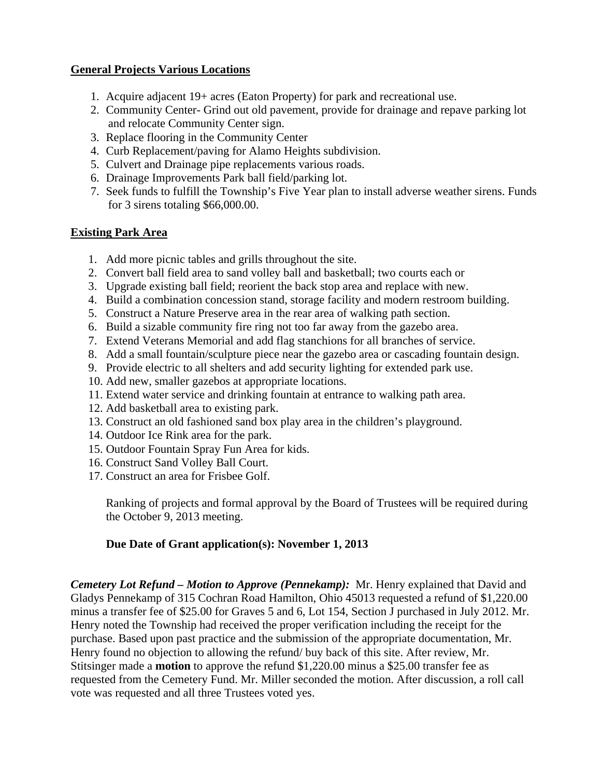## **General Projects Various Locations**

- 1. Acquire adjacent 19+ acres (Eaton Property) for park and recreational use.
- 2. Community Center- Grind out old pavement, provide for drainage and repave parking lot and relocate Community Center sign.
- 3. Replace flooring in the Community Center
- 4. Curb Replacement/paving for Alamo Heights subdivision.
- 5. Culvert and Drainage pipe replacements various roads.
- 6. Drainage Improvements Park ball field/parking lot.
- 7. Seek funds to fulfill the Township's Five Year plan to install adverse weather sirens. Funds for 3 sirens totaling \$66,000.00.

### **Existing Park Area**

- 1. Add more picnic tables and grills throughout the site.
- 2. Convert ball field area to sand volley ball and basketball; two courts each or
- 3. Upgrade existing ball field; reorient the back stop area and replace with new.
- 4. Build a combination concession stand, storage facility and modern restroom building.
- 5. Construct a Nature Preserve area in the rear area of walking path section.
- 6. Build a sizable community fire ring not too far away from the gazebo area.
- 7. Extend Veterans Memorial and add flag stanchions for all branches of service.
- 8. Add a small fountain/sculpture piece near the gazebo area or cascading fountain design.
- 9. Provide electric to all shelters and add security lighting for extended park use.
- 10. Add new, smaller gazebos at appropriate locations.
- 11. Extend water service and drinking fountain at entrance to walking path area.
- 12. Add basketball area to existing park.
- 13. Construct an old fashioned sand box play area in the children's playground.
- 14. Outdoor Ice Rink area for the park.
- 15. Outdoor Fountain Spray Fun Area for kids.
- 16. Construct Sand Volley Ball Court.
- 17. Construct an area for Frisbee Golf.

Ranking of projects and formal approval by the Board of Trustees will be required during the October 9, 2013 meeting.

## **Due Date of Grant application(s): November 1, 2013**

*Cemetery Lot Refund – Motion to Approve (Pennekamp):* Mr. Henry explained that David and Gladys Pennekamp of 315 Cochran Road Hamilton, Ohio 45013 requested a refund of \$1,220.00 minus a transfer fee of \$25.00 for Graves 5 and 6, Lot 154, Section J purchased in July 2012. Mr. Henry noted the Township had received the proper verification including the receipt for the purchase. Based upon past practice and the submission of the appropriate documentation, Mr. Henry found no objection to allowing the refund/ buy back of this site. After review, Mr. Stitsinger made a **motion** to approve the refund \$1,220.00 minus a \$25.00 transfer fee as requested from the Cemetery Fund. Mr. Miller seconded the motion. After discussion, a roll call vote was requested and all three Trustees voted yes.